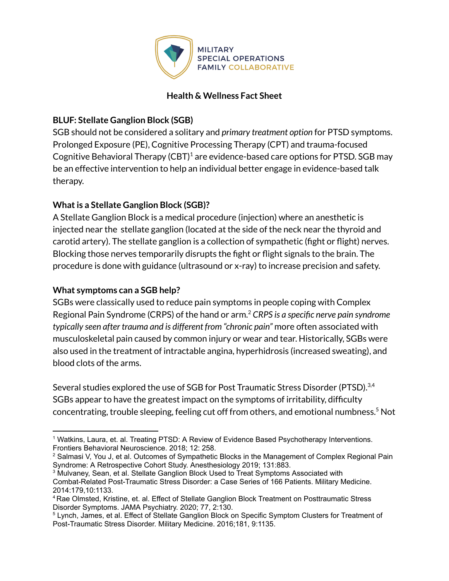

#### **Health & Wellness Fact Sheet**

## **BLUF: Stellate Ganglion Block (SGB)**

SGB should not be considered a solitary and *primary treatment option* for PTSD symptoms. Prolonged Exposure (PE), Cognitive Processing Therapy (CPT) and trauma-focused Cognitive Behavioral Therapy (CBT) $^1$  are evidence-based care options for PTSD. SGB may be an effective intervention to help an individual better engage in evidence-based talk therapy.

# **Whatis a Stellate Ganglion Block (SGB)?**

A Stellate Ganglion Block is a medical procedure (injection) where an anesthetic is injected near the stellate ganglion (located at the side of the neck near the thyroid and carotid artery). The stellate ganglion is a collection of sympathetic (fight or flight) nerves. Blocking those nerves temporarily disrupts the fight or flight signals to the brain. The procedure is done with guidance (ultrasound or x-ray) to increase precision and safety.

### **What symptoms can a SGB help?**

SGBs were classically used to reduce pain symptoms in people coping with Complex Regional Pain Syndrome (CRPS) of the hand or arm. <sup>2</sup> *CRPS is a specific nerve pain syndrome typically seen after trauma and is different from "chronic pain"* more often associated with musculoskeletal pain caused by common injury or wear and tear. Historically, SGBs were also used in the treatment of intractable angina, hyperhidrosis (increased sweating), and blood clots of the arms.

Several studies explored the use of SGB for Post Traumatic Stress Disorder (PTSD).<sup>3,4</sup> SGBs appear to have the greatest impact on the symptoms of irritability, difficulty concentrating, trouble sleeping, feeling cut off from others, and emotional numbness. <sup>5</sup> Not

<sup>1</sup> Watkins, Laura, et. al. Treating PTSD: A Review of Evidence Based Psychotherapy Interventions. Frontiers Behavioral [Neuroscience.](https://www.ncbi.nlm.nih.gov/pmc/articles/PMC6224348/#) 2018; 12: 258.

<sup>&</sup>lt;sup>2</sup> Salmasi V, You J, et al. Outcomes of Sympathetic Blocks in the [Management](http://contents/complex-regional-pain-syndrome-in-adults-treatment-prognosis-and-prevention/abstract/60) of Complex Regional Pain Syndrome: A Retrospective Cohort Study. [Anesthesiology](http://contents/complex-regional-pain-syndrome-in-adults-treatment-prognosis-and-prevention/abstract/60) 2019; 131:883.

<sup>3</sup> Mulvaney, Sean, et al. Stellate Ganglion Block Used to Treat Symptoms Associated with Combat-Related Post-Traumatic Stress Disorder: a Case Series of 166 Patients. Military Medicine. 2014:179,10:1133.

<sup>4</sup> Rae Olmsted, Kristine, et. al. Effect of Stellate Ganglion Block Treatment on Posttraumatic Stress Disorder Symptoms. JAMA Psychiatry. 2020; 77, 2:130.

<sup>5</sup> Lynch, James, et al. Effect of Stellate Ganglion Block on Specific Symptom Clusters for Treatment of Post-Traumatic Stress Disorder. Military Medicine. 2016;181, 9:1135.